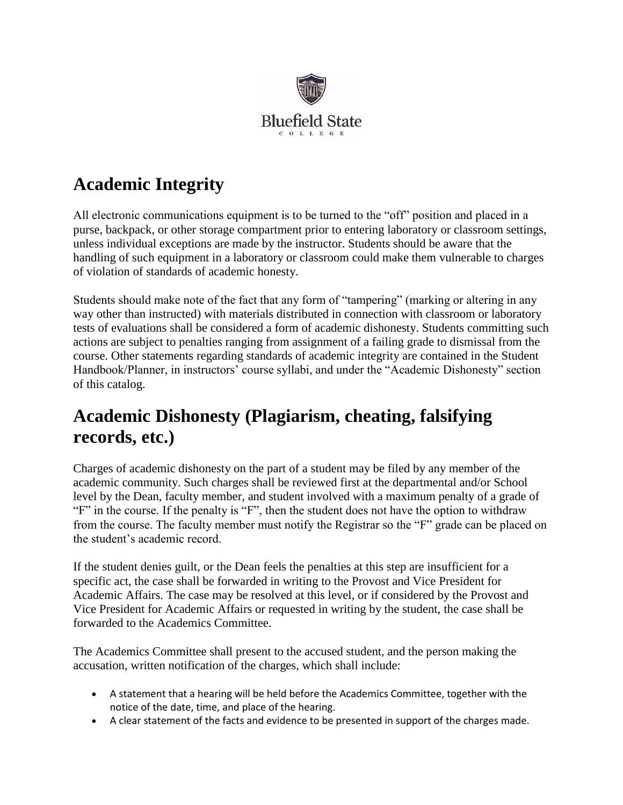

## **Academic Integrity**

All electronic communications equipment is to be turned to the "off" position and placed in a purse, backpack, or other storage compartment prior to entering laboratory or classroom settings, unless individual exceptions are made by the instructor. Students should be aware that the handling of such equipment in a laboratory or classroom could make them vulnerable to charges of violation of standards of academic honesty.

Students should make note of the fact that any form of "tampering" (marking or altering in any way other than instructed) with materials distributed in connection with classroom or laboratory tests of evaluations shall be considered a form of academic dishonesty. Students committing such actions are subject to penalties ranging from assignment of a failing grade to dismissal from the course. Other statements regarding standards of academic integrity are contained in the Student Handbook/Planner, in instructors' course syllabi, and under the "Academic Dishonesty" section of this catalog.

## **Academic Dishonesty (Plagiarism, cheating, falsifying records, etc.)**

Charges of academic dishonesty on the part of a student may be filed by any member of the academic community. Such charges shall be reviewed first at the departmental and/or School level by the Dean, faculty member, and student involved with a maximum penalty of a grade of "F" in the course. If the penalty is "F", then the student does not have the option to withdraw from the course. The faculty member must notify the Registrar so the "F" grade can be placed on the student's academic record.

If the student denies guilt, or the Dean feels the penalties at this step are insufficient for a specific act, the case shall be forwarded in writing to the Provost and Vice President for Academic Affairs. The case may be resolved at this level, or if considered by the Provost and Vice President for Academic Affairs or requested in writing by the student, the case shall be forwarded to the Academics Committee.

The Academics Committee shall present to the accused student, and the person making the accusation, written notification of the charges, which shall include:

- A statement that a hearing will be held before the Academics Committee, together with the notice of the date, time, and place of the hearing.
- A clear statement of the facts and evidence to be presented in support of the charges made.